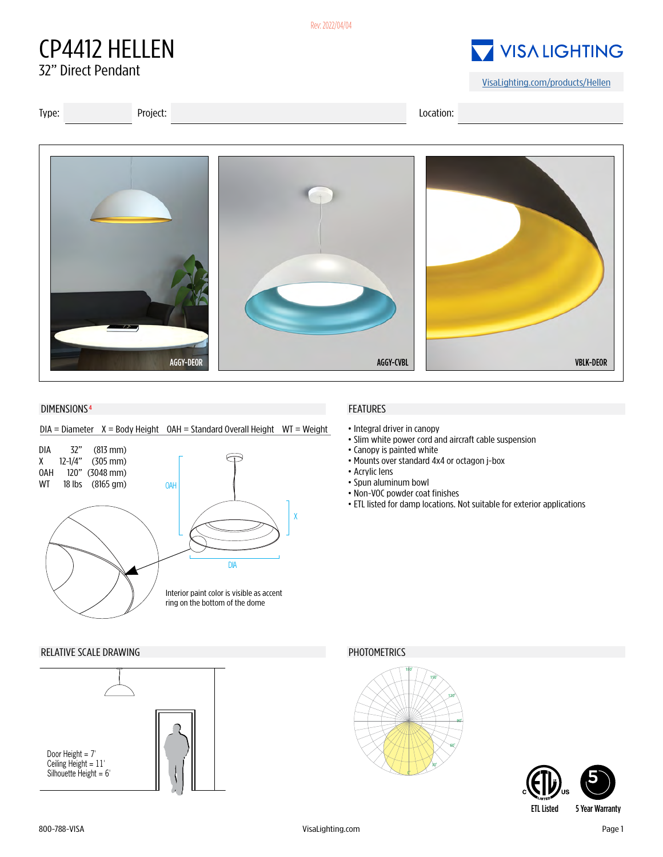# CP4412 HELLEN

32" Direct Pendant

## VISA LIGHTING

[VisaLighting.com/products/Hellen](https://VisaLighting.com/products/Hellen)

| Type: | Project: |  | Location: |  |
|-------|----------|--|-----------|--|
|       |          |  |           |  |
|       |          |  |           |  |



#### DIMENSIONS<sup>4</sup>

DIA = Diameter X = Body Height OAH = Standard Overall Height WT = Weight



#### RELATIVE SCALE DRAWING **PHOTOMETRICS**



### FEATURES

- Integral driver in canopy
- Slim white power cord and aircraft cable suspension
- Canopy is painted white
- Mounts over standard 4x4 or octagon j-box
- Acrylic lens
- Spun aluminum bowl
- Non-VOC powder coat finishes
- ETL listed for damp locations. Not suitable for exterior applications



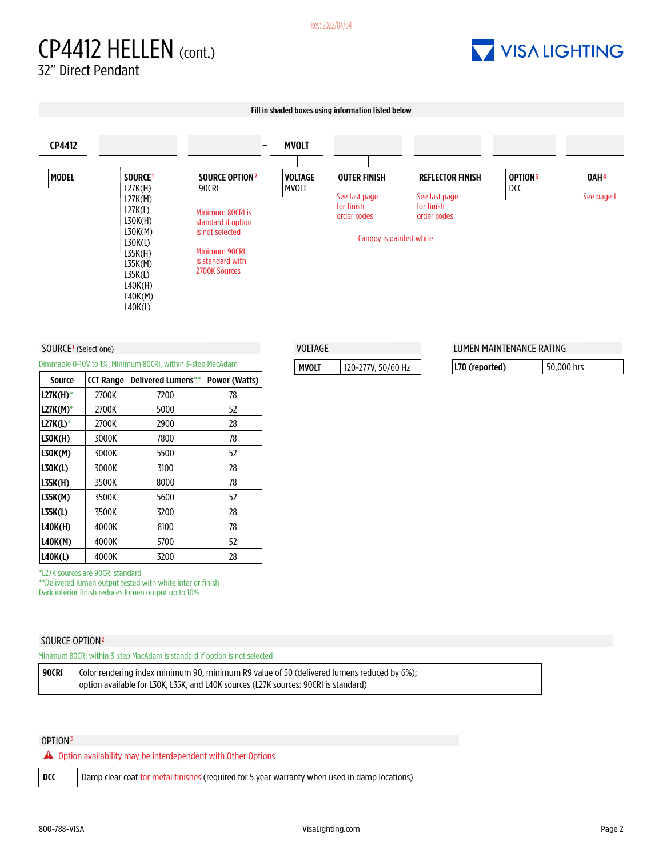## CP4412 HELLEN (cont.)



32" Direct Pendant



\*L27K sources are 90CRI standard

\*\*Delivered lumen output tested with white interior finish Dark interior finish reduces lumen output up to 10%

|                                                                           | SOURCE OPTION <sup>2</sup>                                                                                                                                                        |  |  |  |  |  |  |  |
|---------------------------------------------------------------------------|-----------------------------------------------------------------------------------------------------------------------------------------------------------------------------------|--|--|--|--|--|--|--|
| Minimum 80CRI within 3-step MacAdam is standard if option is not selected |                                                                                                                                                                                   |  |  |  |  |  |  |  |
| 90CRI                                                                     | Color rendering index minimum 90, minimum R9 value of 50 (delivered lumens reduced by 6%);<br>option available for L30K, L35K, and L40K sources (L27K sources: 90CRI is standard) |  |  |  |  |  |  |  |

#### OPTION3

| $\triangle$ Option availability may be interdependent with Other Options |            |                                                                                               |  |  |  |  |  |  |  |
|--------------------------------------------------------------------------|------------|-----------------------------------------------------------------------------------------------|--|--|--|--|--|--|--|
|                                                                          | $\mid$ DCC | Damp clear coat for metal finishes (required for 5 year warranty when used in damp locations) |  |  |  |  |  |  |  |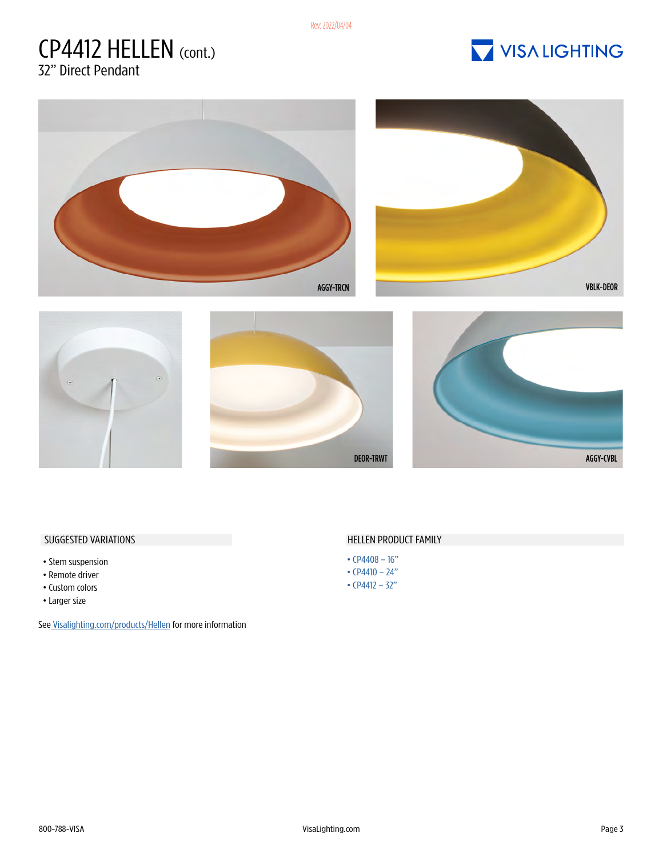### CP4412 HELLEN (cont.) 32" Direct Pendant











#### SUGGESTED VARIATIONS **SUGGESTED VARIATIONS**

- Stem suspension
- •Remote driver
- Custom colors
- Larger size

Se[e Visalighting.com/products/Hellen](https:// Visalighting.com/products/Hellen) for more information

- [CP4408 16"](https://visalighting.com/products/hellen/CP4408)
- [CP4410 24"](https://visalighting.com/products/hellen/CP4410)
- [CP4412 32"](https://visalighting.com/products/hellen/CP4412)